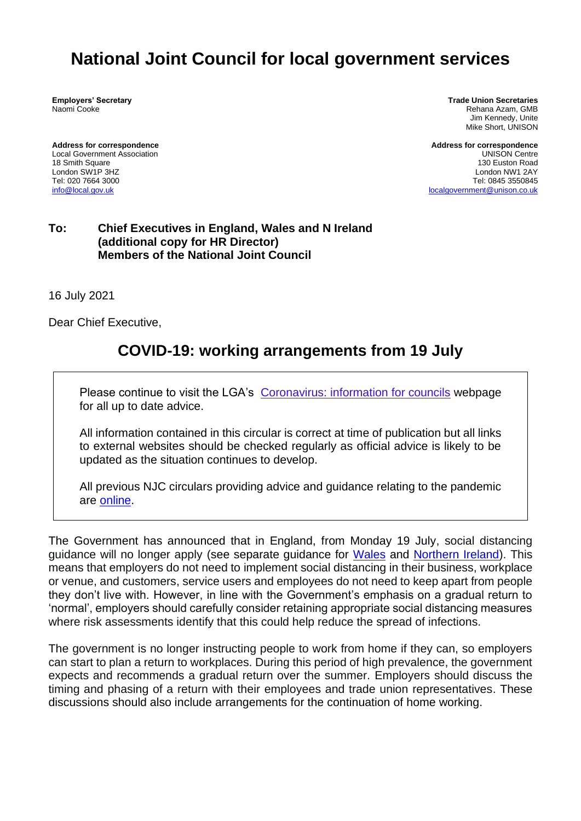# **National Joint Council for local government services**

**Employers' Secretary** Naomi Cooke

**Address for correspondence** Local Government Association 18 Smith Square London SW1P 3HZ Tel: 020 7664 3000 [info@local.gov.uk](mailto:info@local.gov.uk)

**Trade Union Secretaries** Rehana Azam, GMB Jim Kennedy, Unite Mike Short, UNISON

**Address for correspondence** UNISON Centre 130 Euston Road London NW1 2AY Tel: 0845 3550845 [localgovernment@unison.co.uk](mailto:localgovernment@unison.co.uk)

#### **To: Chief Executives in England, Wales and N Ireland (additional copy for HR Director) Members of the National Joint Council**

16 July 2021

Dear Chief Executive,

# **COVID-19: working arrangements from 19 July**

Please continue to visit the LGA's [Coronavirus: information for councils](https://www.local.gov.uk/our-support/coronavirus-information-councils) webpage for all up to date advice.

All information contained in this circular is correct at time of publication but all links to external websites should be checked regularly as official advice is likely to be updated as the situation continues to develop.

All previous NJC circulars providing advice and guidance relating to the pandemic are [online.](https://www.local.gov.uk/our-support/workforce-and-hr-support/local-government-services)

The Government has announced that in England, from Monday 19 July, social distancing guidance will no longer apply (see separate guidance for [Wales](https://gov.wales/keep-wales-safe-work-html) and [Northern Ireland\)](https://www.nibusinessinfo.co.uk/campaign/coronavirus-updates-support-your-business). This means that employers do not need to implement social distancing in their business, workplace or venue, and customers, service users and employees do not need to keep apart from people they don't live with. However, in line with the Government's emphasis on a gradual return to 'normal', employers should carefully consider retaining appropriate social distancing measures where risk assessments identify that this could help reduce the spread of infections.

The government is no longer instructing people to work from home if they can, so employers can start to plan a return to workplaces. During this period of high prevalence, the government expects and recommends a gradual return over the summer. Employers should discuss the timing and phasing of a return with their employees and trade union representatives. These discussions should also include arrangements for the continuation of home working.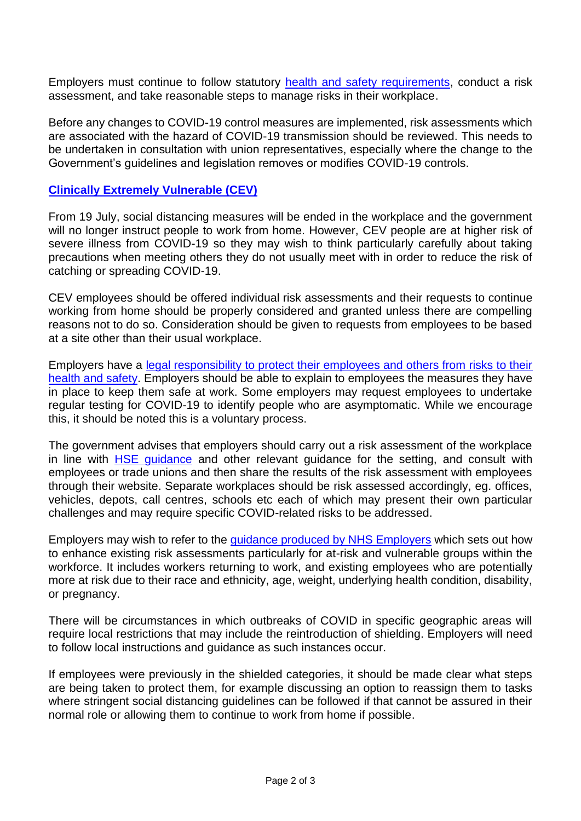Employers must continue to follow statutory [health and safety requirements,](https://www.hse.gov.uk/coronavirus/roadmap-further-guidance.htm) conduct a risk assessment, and take reasonable steps to manage risks in their workplace.

Before any changes to COVID-19 control measures are implemented, risk assessments which are associated with the hazard of COVID-19 transmission should be reviewed. This needs to be undertaken in consultation with union representatives, especially where the change to the Government's guidelines and legislation removes or modifies COVID-19 controls.

#### **[Clinically Extremely Vulnerable \(CEV\)](https://www.gov.uk/government/publications/guidance-on-shielding-and-protecting-extremely-vulnerable-persons-from-covid-19/19-july-guidance-on-protecting-people-who-are-clinically-extremely-vulnerable-from-covid-19#contents)**

From 19 July, social distancing measures will be ended in the workplace and the government will no longer instruct people to work from home. However, CEV people are at higher risk of severe illness from COVID-19 so they may wish to think particularly carefully about taking precautions when meeting others they do not usually meet with in order to reduce the risk of catching or spreading COVID-19.

CEV employees should be offered individual risk assessments and their requests to continue working from home should be properly considered and granted unless there are compelling reasons not to do so. Consideration should be given to requests from employees to be based at a site other than their usual workplace.

Employers have a [legal responsibility to protect their employees and others from risks to their](https://www.hse.gov.uk/coronavirus/working-safely/protect-people.htm)  [health and safety.](https://www.hse.gov.uk/coronavirus/working-safely/protect-people.htm) Employers should be able to explain to employees the measures they have in place to keep them safe at work. Some employers may request employees to undertake regular testing for COVID-19 to identify people who are asymptomatic. While we encourage this, it should be noted this is a voluntary process.

The government advises that employers should carry out a risk assessment of the workplace in line with [HSE guidance](https://www.hse.gov.uk/coronavirus/working-safely/risk-assessment.htm) and other relevant guidance for the setting, and consult with employees or trade unions and then share the results of the risk assessment with employees through their website. Separate workplaces should be risk assessed accordingly, eg. offices, vehicles, depots, call centres, schools etc each of which may present their own particular challenges and may require specific COVID-related risks to be addressed.

Employers may wish to refer to the [guidance produced by NHS Employers](https://www.nhsemployers.org/covid19/health-safety-and-wellbeing/supporting-staff-health-and-safety/risk-assessments-for-staff) which sets out how to enhance existing risk assessments particularly for at-risk and vulnerable groups within the workforce. It includes workers returning to work, and existing employees who are potentially more at risk due to their race and ethnicity, age, weight, underlying health condition, disability, or pregnancy.

There will be circumstances in which outbreaks of COVID in specific geographic areas will require local restrictions that may include the reintroduction of shielding. Employers will need to follow local instructions and guidance as such instances occur.

If employees were previously in the shielded categories, it should be made clear what steps are being taken to protect them, for example discussing an option to reassign them to tasks where stringent social distancing guidelines can be followed if that cannot be assured in their normal role or allowing them to continue to work from home if possible.